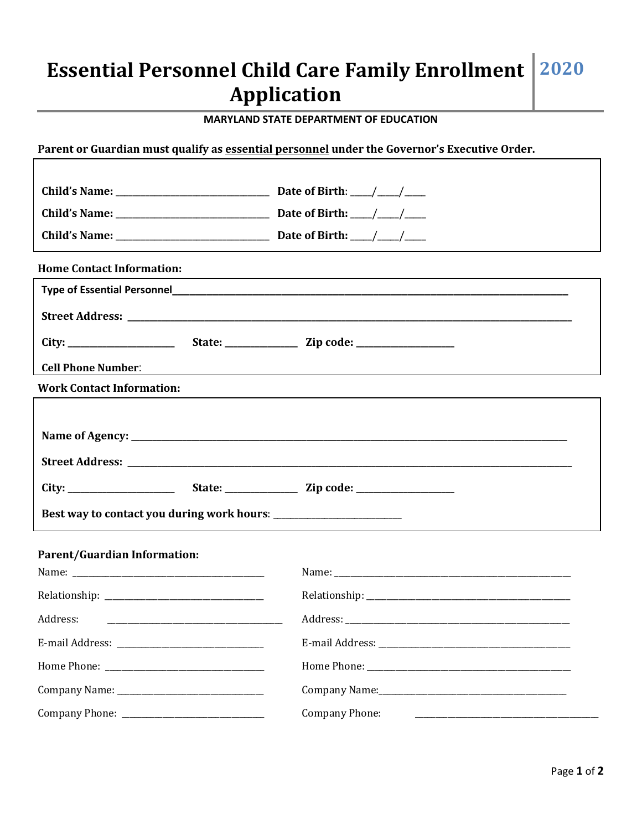## 2020 **Essential Personnel Child Care Family Enrollment Application**

## **MARYLAND STATE DEPARTMENT OF EDUCATION**

Parent or Guardian must qualify as essential personnel under the Governor's Executive Order.

| <b>Home Contact Information:</b>                                                                                                 |                                                                                                                                                                                                                                           |
|----------------------------------------------------------------------------------------------------------------------------------|-------------------------------------------------------------------------------------------------------------------------------------------------------------------------------------------------------------------------------------------|
|                                                                                                                                  | Type of Essential Personnel <b>Example 2018</b> Type of Essential Personnel <b>Contract Contract Contract Contract Contract Contract Contract Contract Contract Contract Contract Contract Contract Contract Contract Contract Contra</b> |
|                                                                                                                                  |                                                                                                                                                                                                                                           |
|                                                                                                                                  |                                                                                                                                                                                                                                           |
| <b>Cell Phone Number:</b>                                                                                                        |                                                                                                                                                                                                                                           |
| <b>Work Contact Information:</b>                                                                                                 |                                                                                                                                                                                                                                           |
|                                                                                                                                  |                                                                                                                                                                                                                                           |
|                                                                                                                                  |                                                                                                                                                                                                                                           |
|                                                                                                                                  |                                                                                                                                                                                                                                           |
|                                                                                                                                  |                                                                                                                                                                                                                                           |
|                                                                                                                                  |                                                                                                                                                                                                                                           |
| <b>Parent/Guardian Information:</b>                                                                                              |                                                                                                                                                                                                                                           |
|                                                                                                                                  |                                                                                                                                                                                                                                           |
|                                                                                                                                  |                                                                                                                                                                                                                                           |
| Address:<br><u> 1989 - Johann Barn, mars and de Barn, mars and de Barn, mars and de Barn, mars and de Barn, mars and de Barn</u> |                                                                                                                                                                                                                                           |
|                                                                                                                                  |                                                                                                                                                                                                                                           |
|                                                                                                                                  |                                                                                                                                                                                                                                           |
|                                                                                                                                  |                                                                                                                                                                                                                                           |
|                                                                                                                                  |                                                                                                                                                                                                                                           |